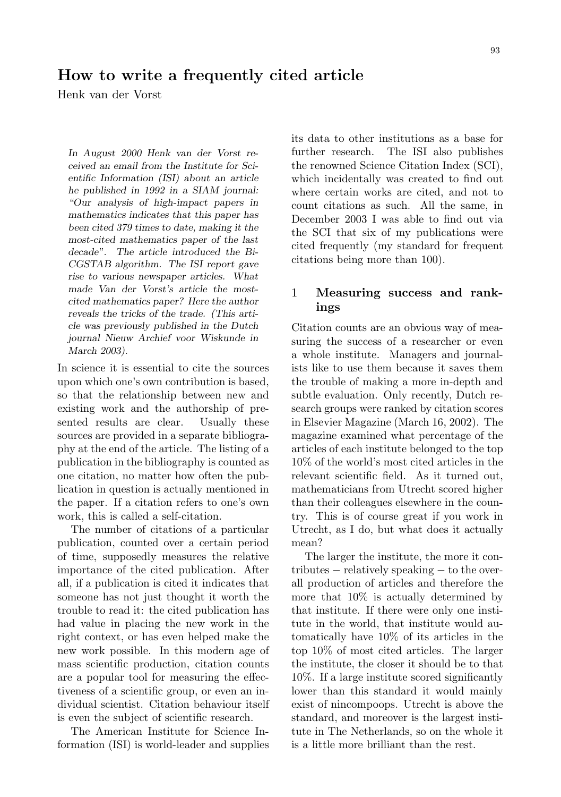# How to write a frequently cited article

Henk van der Vorst

In August 2000 Henk van der Vorst received an email from the Institute for Scientific Information (ISI) about an article he published in 1992 in a SIAM journal: "Our analysis of high-impact papers in mathematics indicates that this paper has been cited 379 times to date, making it the most-cited mathematics paper of the last decade". The article introduced the Bi-CGSTAB algorithm. The ISI report gave rise to various newspaper articles. What made Van der Vorst's article the mostcited mathematics paper? Here the author reveals the tricks of the trade. (This article was previously published in the Dutch journal Nieuw Archief voor Wiskunde in March 2003).

In science it is essential to cite the sources upon which one's own contribution is based, so that the relationship between new and existing work and the authorship of presented results are clear. Usually these sources are provided in a separate bibliography at the end of the article. The listing of a publication in the bibliography is counted as one citation, no matter how often the publication in question is actually mentioned in the paper. If a citation refers to one's own work, this is called a self-citation.

The number of citations of a particular publication, counted over a certain period of time, supposedly measures the relative importance of the cited publication. After all, if a publication is cited it indicates that someone has not just thought it worth the trouble to read it: the cited publication has had value in placing the new work in the right context, or has even helped make the new work possible. In this modern age of mass scientific production, citation counts are a popular tool for measuring the effectiveness of a scientific group, or even an individual scientist. Citation behaviour itself is even the subject of scientific research.

The American Institute for Science Information (ISI) is world-leader and supplies its data to other institutions as a base for further research. The ISI also publishes the renowned Science Citation Index (SCI), which incidentally was created to find out where certain works are cited, and not to count citations as such. All the same, in December 2003 I was able to find out via the SCI that six of my publications were cited frequently (my standard for frequent citations being more than 100).

# 1 Measuring success and rankings

Citation counts are an obvious way of measuring the success of a researcher or even a whole institute. Managers and journalists like to use them because it saves them the trouble of making a more in-depth and subtle evaluation. Only recently, Dutch research groups were ranked by citation scores in Elsevier Magazine (March 16, 2002). The magazine examined what percentage of the articles of each institute belonged to the top 10% of the world's most cited articles in the relevant scientific field. As it turned out, mathematicians from Utrecht scored higher than their colleagues elsewhere in the country. This is of course great if you work in Utrecht, as I do, but what does it actually mean?

The larger the institute, the more it contributes − relatively speaking − to the overall production of articles and therefore the more that 10% is actually determined by that institute. If there were only one institute in the world, that institute would automatically have 10% of its articles in the top 10% of most cited articles. The larger the institute, the closer it should be to that 10%. If a large institute scored significantly lower than this standard it would mainly exist of nincompoops. Utrecht is above the standard, and moreover is the largest institute in The Netherlands, so on the whole it is a little more brilliant than the rest.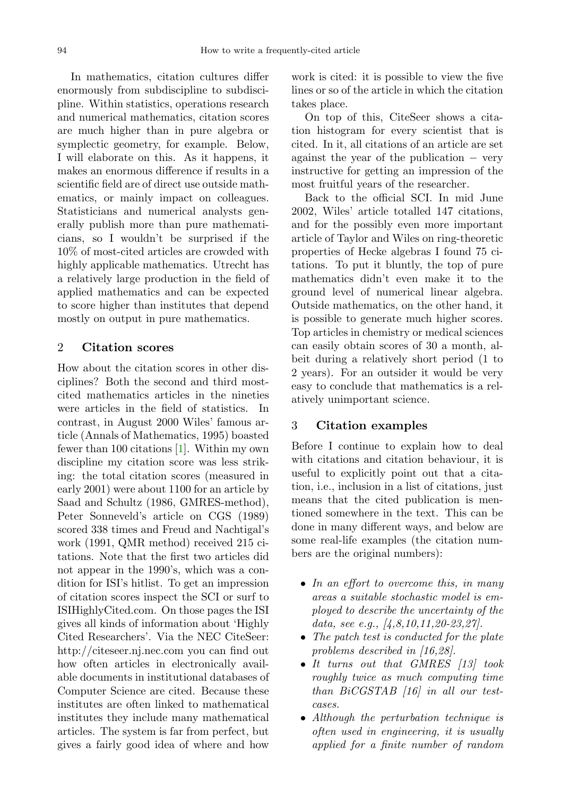In mathematics, citation cultures differ enormously from subdiscipline to subdiscipline. Within statistics, operations research and numerical mathematics, citation scores are much higher than in pure algebra or symplectic geometry, for example. Below, I will elaborate on this. As it happens, it makes an enormous difference if results in a scientific field are of direct use outside mathematics, or mainly impact on colleagues. Statisticians and numerical analysts generally publish more than pure mathematicians, so I wouldn't be surprised if the 10% of most-cited articles are crowded with highly applicable mathematics. Utrecht has a relatively large production in the field of applied mathematics and can be expected to score higher than institutes that depend mostly on output in pure mathematics.

# 2 Citation scores

How about the citation scores in other disciplines? Both the second and third mostcited mathematics articles in the nineties were articles in the field of statistics. In contrast, in August 2000 Wiles' famous article (Annals of Mathematics, 1995) boasted fewer than 100 citations [\[1\]](#page-6-0). Within my own discipline my citation score was less striking: the total citation scores (measured in early 2001) were about 1100 for an article by Saad and Schultz (1986, GMRES-method), Peter Sonneveld's article on CGS (1989) scored 338 times and Freud and Nachtigal's work (1991, QMR method) received 215 citations. Note that the first two articles did not appear in the 1990's, which was a condition for ISI's hitlist. To get an impression of citation scores inspect the SCI or surf to ISIHighlyCited.com. On those pages the ISI gives all kinds of information about 'Highly Cited Researchers'. Via the NEC CiteSeer: http://citeseer.nj.nec.com you can find out how often articles in electronically available documents in institutional databases of Computer Science are cited. Because these institutes are often linked to mathematical institutes they include many mathematical articles. The system is far from perfect, but gives a fairly good idea of where and how

work is cited: it is possible to view the five lines or so of the article in which the citation takes place.

On top of this, CiteSeer shows a citation histogram for every scientist that is cited. In it, all citations of an article are set against the year of the publication  $-$  very instructive for getting an impression of the most fruitful years of the researcher.

Back to the official SCI. In mid June 2002, Wiles' article totalled 147 citations, and for the possibly even more important article of Taylor and Wiles on ring-theoretic properties of Hecke algebras I found 75 citations. To put it bluntly, the top of pure mathematics didn't even make it to the ground level of numerical linear algebra. Outside mathematics, on the other hand, it is possible to generate much higher scores. Top articles in chemistry or medical sciences can easily obtain scores of 30 a month, albeit during a relatively short period (1 to 2 years). For an outsider it would be very easy to conclude that mathematics is a relatively unimportant science.

#### 3 Citation examples

Before I continue to explain how to deal with citations and citation behaviour, it is useful to explicitly point out that a citation, i.e., inclusion in a list of citations, just means that the cited publication is mentioned somewhere in the text. This can be done in many different ways, and below are some real-life examples (the citation numbers are the original numbers):

- In an effort to overcome this, in many areas a suitable stochastic model is employed to describe the uncertainty of the data, see e.g.,  $\left[4, 8, 10, 11, 20\text{-}23, 27\right]$ .
- The patch test is conducted for the plate problems described in [16,28].
- It turns out that GMRES [13] took roughly twice as much computing time than BiCGSTAB [16] in all our testcases.
- Although the perturbation technique is often used in engineering, it is usually applied for a finite number of random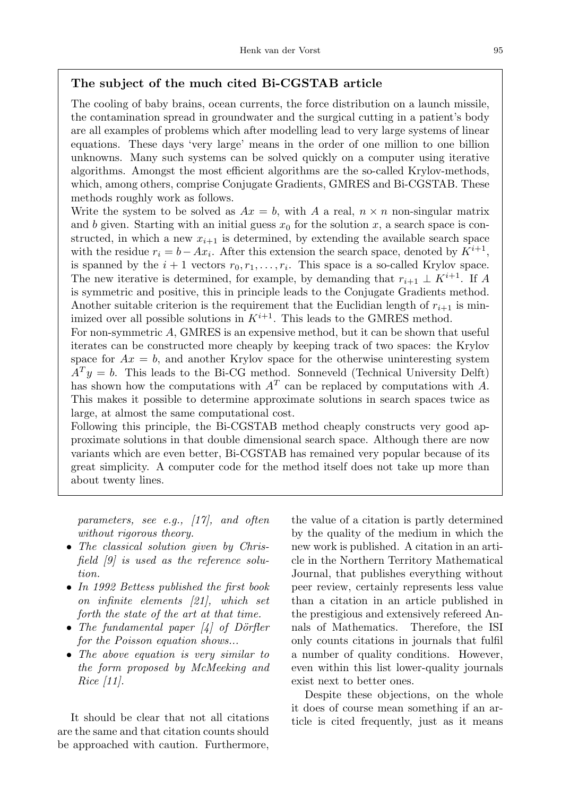# The subject of the much cited Bi-CGSTAB article

The cooling of baby brains, ocean currents, the force distribution on a launch missile, the contamination spread in groundwater and the surgical cutting in a patient's body are all examples of problems which after modelling lead to very large systems of linear equations. These days 'very large' means in the order of one million to one billion unknowns. Many such systems can be solved quickly on a computer using iterative algorithms. Amongst the most efficient algorithms are the so-called Krylov-methods, which, among others, comprise Conjugate Gradients, GMRES and Bi-CGSTAB. These methods roughly work as follows.

Write the system to be solved as  $Ax = b$ , with A a real,  $n \times n$  non-singular matrix and b given. Starting with an initial guess  $x_0$  for the solution x, a search space is constructed, in which a new  $x_{i+1}$  is determined, by extending the available search space with the residue  $r_i = b - Ax_i$ . After this extension the search space, denoted by  $K^{i+1}$ , is spanned by the  $i+1$  vectors  $r_0, r_1, \ldots, r_i$ . This space is a so-called Krylov space. The new iterative is determined, for example, by demanding that  $r_{i+1} \perp K^{i+1}$ . If A is symmetric and positive, this in principle leads to the Conjugate Gradients method. Another suitable criterion is the requirement that the Euclidian length of  $r_{i+1}$  is minimized over all possible solutions in  $K^{i+1}$ . This leads to the GMRES method.

For non-symmetric A, GMRES is an expensive method, but it can be shown that useful iterates can be constructed more cheaply by keeping track of two spaces: the Krylov space for  $Ax = b$ , and another Krylov space for the otherwise uninteresting system  $A<sup>T</sup>y = b$ . This leads to the Bi-CG method. Sonneveld (Technical University Delft) has shown how the computations with  $A<sup>T</sup>$  can be replaced by computations with A. This makes it possible to determine approximate solutions in search spaces twice as large, at almost the same computational cost.

Following this principle, the Bi-CGSTAB method cheaply constructs very good approximate solutions in that double dimensional search space. Although there are now variants which are even better, Bi-CGSTAB has remained very popular because of its great simplicity. A computer code for the method itself does not take up more than about twenty lines.

parameters, see e.g., [17], and often without rigorous theory.

- The classical solution given by Chrisfield [9] is used as the reference solution.
- In 1992 Bettess published the first book on infinite elements [21], which set forth the state of the art at that time.
- The fundamental paper  $\vert 4 \vert$  of Dörfler for the Poisson equation shows...
- The above equation is very similar to the form proposed by McMeeking and Rice [11].

It should be clear that not all citations are the same and that citation counts should be approached with caution. Furthermore,

the value of a citation is partly determined by the quality of the medium in which the new work is published. A citation in an article in the Northern Territory Mathematical Journal, that publishes everything without peer review, certainly represents less value than a citation in an article published in the prestigious and extensively refereed Annals of Mathematics. Therefore, the ISI only counts citations in journals that fulfil a number of quality conditions. However, even within this list lower-quality journals exist next to better ones.

Despite these objections, on the whole it does of course mean something if an article is cited frequently, just as it means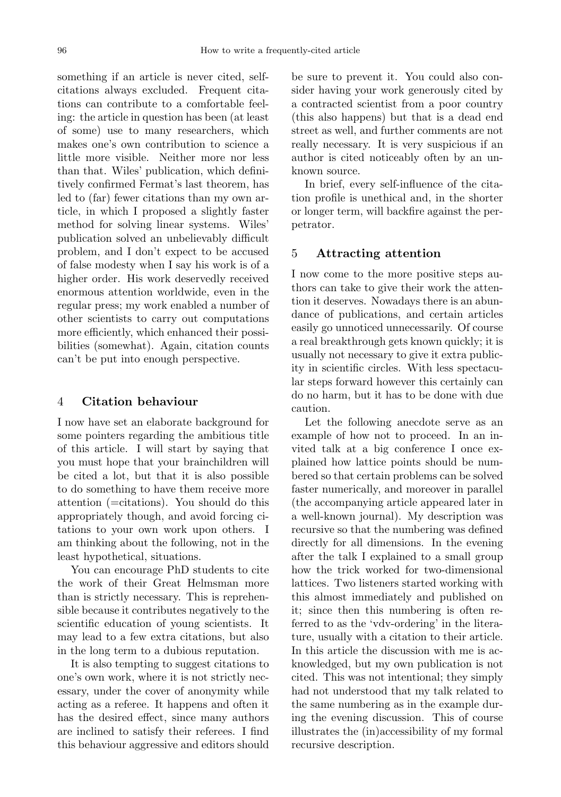something if an article is never cited, selfcitations always excluded. Frequent citations can contribute to a comfortable feeling: the article in question has been (at least of some) use to many researchers, which makes one's own contribution to science a little more visible. Neither more nor less than that. Wiles' publication, which definitively confirmed Fermat's last theorem, has led to (far) fewer citations than my own article, in which I proposed a slightly faster method for solving linear systems. Wiles' publication solved an unbelievably difficult problem, and I don't expect to be accused of false modesty when I say his work is of a higher order. His work deservedly received enormous attention worldwide, even in the regular press; my work enabled a number of other scientists to carry out computations more efficiently, which enhanced their possibilities (somewhat). Again, citation counts can't be put into enough perspective.

# 4 Citation behaviour

I now have set an elaborate background for some pointers regarding the ambitious title of this article. I will start by saying that you must hope that your brainchildren will be cited a lot, but that it is also possible to do something to have them receive more attention (=citations). You should do this appropriately though, and avoid forcing citations to your own work upon others. I am thinking about the following, not in the least hypothetical, situations.

You can encourage PhD students to cite the work of their Great Helmsman more than is strictly necessary. This is reprehensible because it contributes negatively to the scientific education of young scientists. It may lead to a few extra citations, but also in the long term to a dubious reputation.

It is also tempting to suggest citations to one's own work, where it is not strictly necessary, under the cover of anonymity while acting as a referee. It happens and often it has the desired effect, since many authors are inclined to satisfy their referees. I find this behaviour aggressive and editors should be sure to prevent it. You could also consider having your work generously cited by a contracted scientist from a poor country (this also happens) but that is a dead end street as well, and further comments are not really necessary. It is very suspicious if an author is cited noticeably often by an unknown source.

In brief, every self-influence of the citation profile is unethical and, in the shorter or longer term, will backfire against the perpetrator.

## 5 Attracting attention

I now come to the more positive steps authors can take to give their work the attention it deserves. Nowadays there is an abundance of publications, and certain articles easily go unnoticed unnecessarily. Of course a real breakthrough gets known quickly; it is usually not necessary to give it extra publicity in scientific circles. With less spectacular steps forward however this certainly can do no harm, but it has to be done with due caution.

Let the following anecdote serve as an example of how not to proceed. In an invited talk at a big conference I once explained how lattice points should be numbered so that certain problems can be solved faster numerically, and moreover in parallel (the accompanying article appeared later in a well-known journal). My description was recursive so that the numbering was defined directly for all dimensions. In the evening after the talk I explained to a small group how the trick worked for two-dimensional lattices. Two listeners started working with this almost immediately and published on it; since then this numbering is often referred to as the 'vdv-ordering' in the literature, usually with a citation to their article. In this article the discussion with me is acknowledged, but my own publication is not cited. This was not intentional; they simply had not understood that my talk related to the same numbering as in the example during the evening discussion. This of course illustrates the (in)accessibility of my formal recursive description.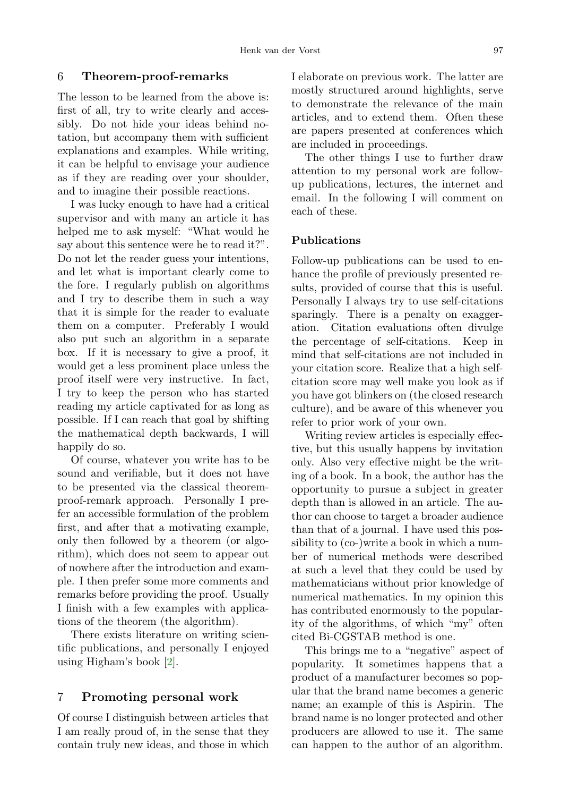## 6 Theorem-proof-remarks

The lesson to be learned from the above is: first of all, try to write clearly and accessibly. Do not hide your ideas behind notation, but accompany them with sufficient explanations and examples. While writing, it can be helpful to envisage your audience as if they are reading over your shoulder, and to imagine their possible reactions.

I was lucky enough to have had a critical supervisor and with many an article it has helped me to ask myself: "What would he say about this sentence were he to read it?". Do not let the reader guess your intentions, and let what is important clearly come to the fore. I regularly publish on algorithms and I try to describe them in such a way that it is simple for the reader to evaluate them on a computer. Preferably I would also put such an algorithm in a separate box. If it is necessary to give a proof, it would get a less prominent place unless the proof itself were very instructive. In fact, I try to keep the person who has started reading my article captivated for as long as possible. If I can reach that goal by shifting the mathematical depth backwards, I will happily do so.

Of course, whatever you write has to be sound and verifiable, but it does not have to be presented via the classical theoremproof-remark approach. Personally I prefer an accessible formulation of the problem first, and after that a motivating example, only then followed by a theorem (or algorithm), which does not seem to appear out of nowhere after the introduction and example. I then prefer some more comments and remarks before providing the proof. Usually I finish with a few examples with applications of the theorem (the algorithm).

There exists literature on writing scientific publications, and personally I enjoyed using Higham's book [\[2\]](#page-6-1).

#### 7 Promoting personal work

Of course I distinguish between articles that I am really proud of, in the sense that they contain truly new ideas, and those in which I elaborate on previous work. The latter are mostly structured around highlights, serve to demonstrate the relevance of the main articles, and to extend them. Often these are papers presented at conferences which are included in proceedings.

The other things I use to further draw attention to my personal work are followup publications, lectures, the internet and email. In the following I will comment on each of these.

## Publications

Follow-up publications can be used to enhance the profile of previously presented results, provided of course that this is useful. Personally I always try to use self-citations sparingly. There is a penalty on exaggeration. Citation evaluations often divulge the percentage of self-citations. Keep in mind that self-citations are not included in your citation score. Realize that a high selfcitation score may well make you look as if you have got blinkers on (the closed research culture), and be aware of this whenever you refer to prior work of your own.

Writing review articles is especially effective, but this usually happens by invitation only. Also very effective might be the writing of a book. In a book, the author has the opportunity to pursue a subject in greater depth than is allowed in an article. The author can choose to target a broader audience than that of a journal. I have used this possibility to (co-)write a book in which a number of numerical methods were described at such a level that they could be used by mathematicians without prior knowledge of numerical mathematics. In my opinion this has contributed enormously to the popularity of the algorithms, of which "my" often cited Bi-CGSTAB method is one.

This brings me to a "negative" aspect of popularity. It sometimes happens that a product of a manufacturer becomes so popular that the brand name becomes a generic name; an example of this is Aspirin. The brand name is no longer protected and other producers are allowed to use it. The same can happen to the author of an algorithm.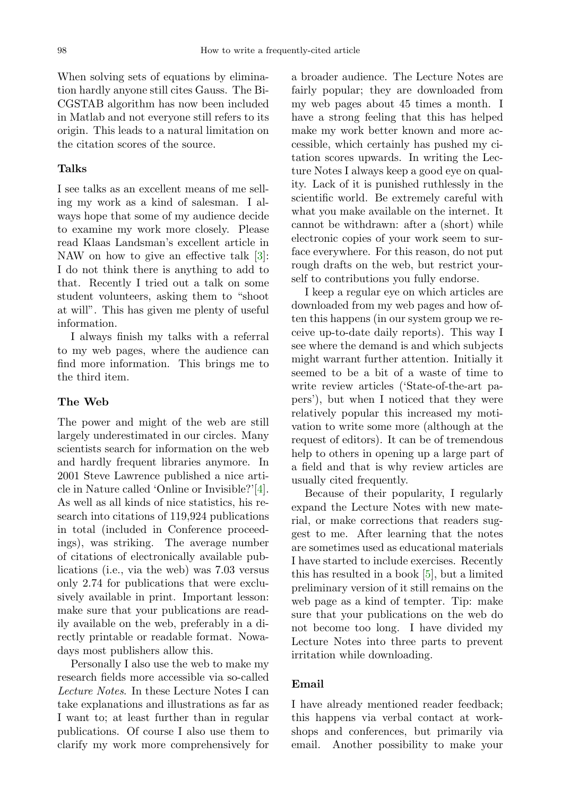When solving sets of equations by elimination hardly anyone still cites Gauss. The Bi-CGSTAB algorithm has now been included in Matlab and not everyone still refers to its origin. This leads to a natural limitation on the citation scores of the source.

#### Talks

I see talks as an excellent means of me selling my work as a kind of salesman. I always hope that some of my audience decide to examine my work more closely. Please read Klaas Landsman's excellent article in NAW on how to give an effective talk [\[3\]](#page-6-2): I do not think there is anything to add to that. Recently I tried out a talk on some student volunteers, asking them to "shoot at will". This has given me plenty of useful information.

I always finish my talks with a referral to my web pages, where the audience can find more information. This brings me to the third item.

# The Web

The power and might of the web are still largely underestimated in our circles. Many scientists search for information on the web and hardly frequent libraries anymore. In 2001 Steve Lawrence published a nice article in Nature called 'Online or Invisible?'[\[4\]](#page-6-3). As well as all kinds of nice statistics, his research into citations of 119,924 publications in total (included in Conference proceedings), was striking. The average number of citations of electronically available publications (i.e., via the web) was 7.03 versus only 2.74 for publications that were exclusively available in print. Important lesson: make sure that your publications are readily available on the web, preferably in a directly printable or readable format. Nowadays most publishers allow this.

Personally I also use the web to make my research fields more accessible via so-called Lecture Notes. In these Lecture Notes I can take explanations and illustrations as far as I want to; at least further than in regular publications. Of course I also use them to clarify my work more comprehensively for

a broader audience. The Lecture Notes are fairly popular; they are downloaded from my web pages about 45 times a month. I have a strong feeling that this has helped make my work better known and more accessible, which certainly has pushed my citation scores upwards. In writing the Lecture Notes I always keep a good eye on quality. Lack of it is punished ruthlessly in the scientific world. Be extremely careful with what you make available on the internet. It cannot be withdrawn: after a (short) while electronic copies of your work seem to surface everywhere. For this reason, do not put rough drafts on the web, but restrict yourself to contributions you fully endorse.

I keep a regular eye on which articles are downloaded from my web pages and how often this happens (in our system group we receive up-to-date daily reports). This way I see where the demand is and which subjects might warrant further attention. Initially it seemed to be a bit of a waste of time to write review articles ('State-of-the-art papers'), but when I noticed that they were relatively popular this increased my motivation to write some more (although at the request of editors). It can be of tremendous help to others in opening up a large part of a field and that is why review articles are usually cited frequently.

Because of their popularity, I regularly expand the Lecture Notes with new material, or make corrections that readers suggest to me. After learning that the notes are sometimes used as educational materials I have started to include exercises. Recently this has resulted in a book [\[5\]](#page-6-4), but a limited preliminary version of it still remains on the web page as a kind of tempter. Tip: make sure that your publications on the web do not become too long. I have divided my Lecture Notes into three parts to prevent irritation while downloading.

## Email

I have already mentioned reader feedback; this happens via verbal contact at workshops and conferences, but primarily via email. Another possibility to make your